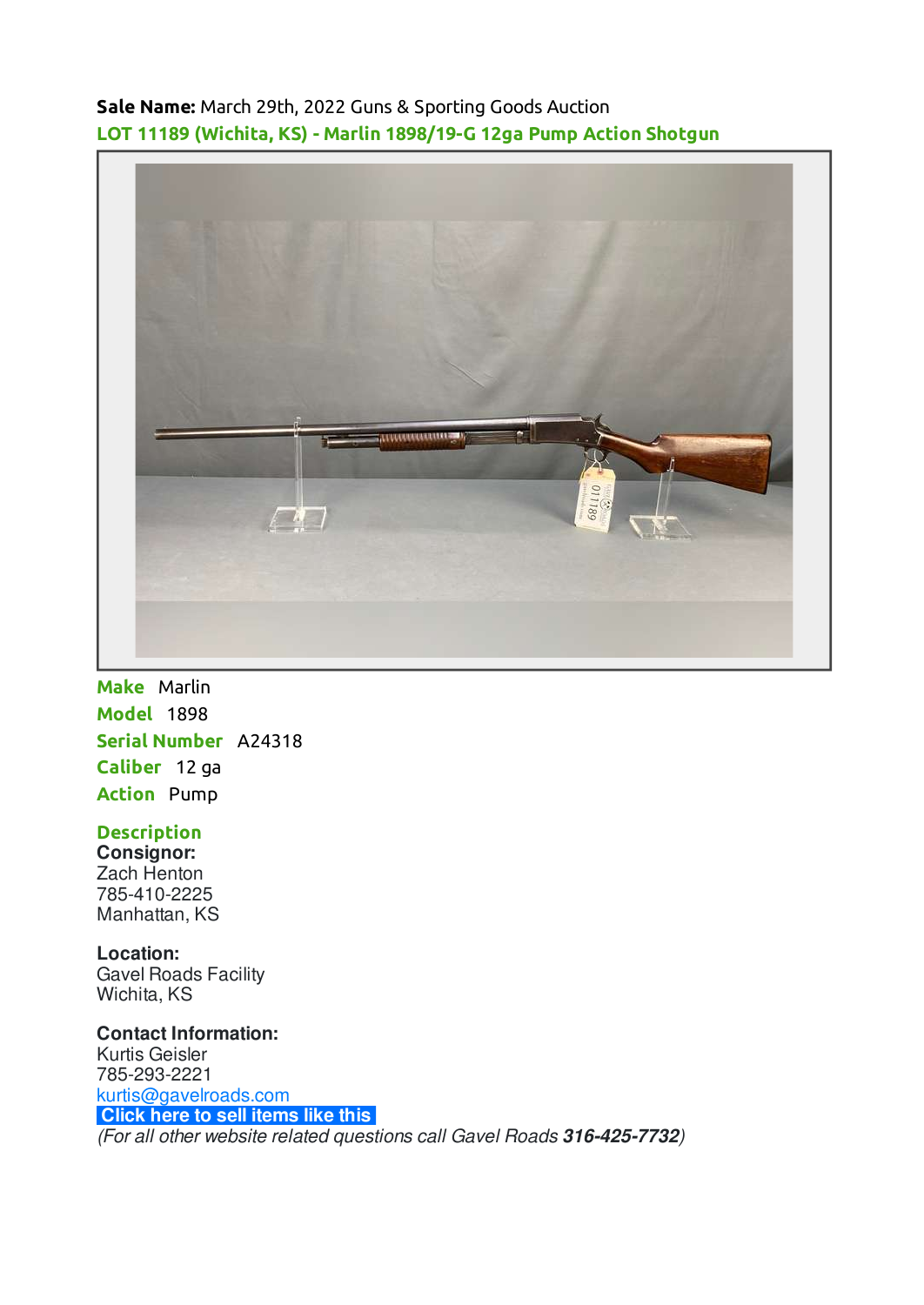**Sale Name:** March 29th, 2022 Guns & Sporting Goods Auction **LOT 11189 (Wichita, KS) - Marlin 1898/19-G 12ga Pump Action Shotgun**



**Make** Marlin **Model** 1898 **Serial Number** A24318 **Caliber** 12 ga **Action** Pump

## **Description**

**Consignor:** Zach Henton 785-410-2225 Manhattan, KS

**Location:** Gavel Roads Facility

Wichita, KS

**Contact Information:** Kurtis Geisler 785-293-2221 [kurtis@gavelroads.com](mailto:kurtis@gavelroads.com) **[Click here to sell items like this](https://www.gavelroads.com/contact-us)** (For all other website related questions call Gavel Roads **316-425-7732**)